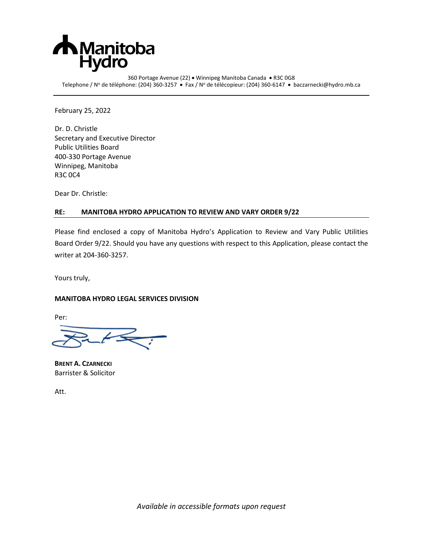

360 Portage Avenue (22) • Winnipeg Manitoba Canada • R3C 0G8 Telephone / Nº de téléphone: (204) 360-3257 • Fax / Nº de télécopieur: (204) 360-6147 • baczarnecki@hydro.mb.ca

February 25, 2022

Dr. D. Christle Secretary and Executive Director Public Utilities Board 400-330 Portage Avenue Winnipeg, Manitoba R3C 0C4

Dear Dr. Christle:

## **RE: MANITOBA HYDRO APPLICATION TO REVIEW AND VARY ORDER 9/22**

Please find enclosed a copy of Manitoba Hydro's Application to Review and Vary Public Utilities Board Order 9/22. Should you have any questions with respect to this Application, please contact the writer at 204-360-3257.

Yours truly,

## **MANITOBA HYDRO LEGAL SERVICES DIVISION**

Per:

**BRENT A. CZARNECKI** Barrister & Solicitor

Att.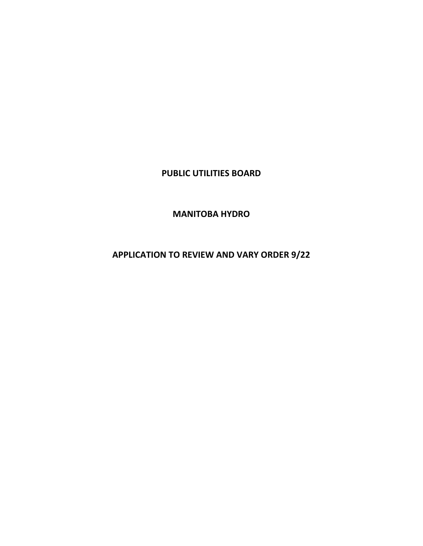# **PUBLIC UTILITIES BOARD**

**MANITOBA HYDRO**

**APPLICATION TO REVIEW AND VARY ORDER 9/22**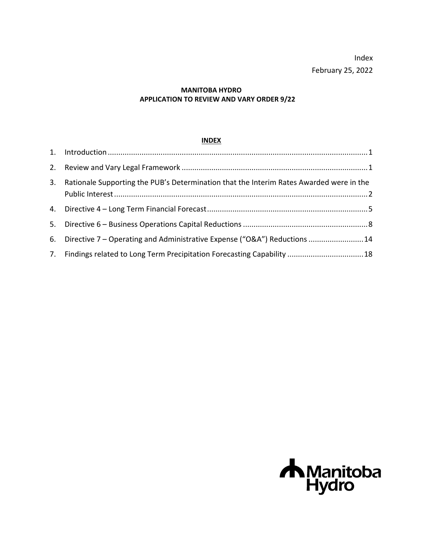Index February 25, 2022

# **MANITOBA HYDRO APPLICATION TO REVIEW AND VARY ORDER 9/22**

# **INDEX**

| 3. Rationale Supporting the PUB's Determination that the Interim Rates Awarded were in the |  |
|--------------------------------------------------------------------------------------------|--|
|                                                                                            |  |
|                                                                                            |  |
| 6. Directive 7 – Operating and Administrative Expense ("O&A") Reductions 14                |  |
| 7. Findings related to Long Term Precipitation Forecasting Capability  18                  |  |

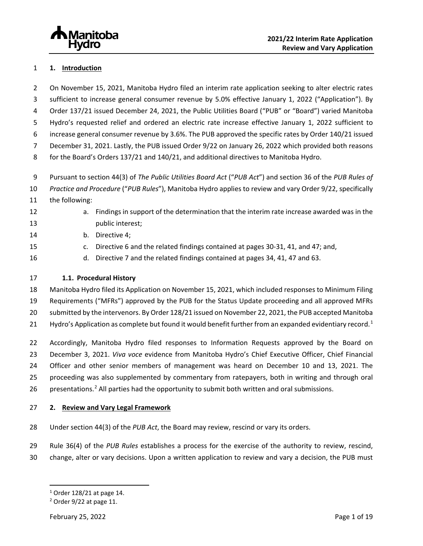# <span id="page-3-0"></span>**1. Introduction**

 On November 15, 2021, Manitoba Hydro filed an interim rate application seeking to alter electric rates sufficient to increase general consumer revenue by 5.0% effective January 1, 2022 ("Application"). By Order 137/21 issued December 24, 2021, the Public Utilities Board ("PUB" or "Board") varied Manitoba Hydro's requested relief and ordered an electric rate increase effective January 1, 2022 sufficient to increase general consumer revenue by 3.6%. The PUB approved the specific rates by Order 140/21 issued December 31, 2021. Lastly, the PUB issued Order 9/22 on January 26, 2022 which provided both reasons for the Board's Orders 137/21 and 140/21, and additional directives to Manitoba Hydro.

Pursuant to section 44(3) of *The Public Utilities Board Act* ("*PUB Act*") and section 36 of the *PUB Rules of* 

- *Practice and Procedure* ("*PUB Rules*"), Manitoba Hydro applies to review and vary Order 9/22, specifically
- the following:
- 

 a. Findings in support of the determination that the interim rate increase awarded was in the **public interest**;

- b. Directive 4;
- c. Directive 6 and the related findings contained at pages 30-31, 41, and 47; and,
- d. Directive 7 and the related findings contained at pages 34, 41, 47 and 63.

# **1.1. Procedural History**

 Manitoba Hydro filed its Application on November 15, 2021, which included responses to Minimum Filing Requirements ("MFRs") approved by the PUB for the Status Update proceeding and all approved MFRs submitted by the intervenors. By Order 128/21 issued on November 22, 2021, the PUB accepted Manitoba [1](#page-3-2) Hydro's Application as complete but found it would benefit further from an expanded evidentiary record.<sup>1</sup>

 Accordingly, Manitoba Hydro filed responses to Information Requests approved by the Board on December 3, 2021. *Viva voce* evidence from Manitoba Hydro's Chief Executive Officer, Chief Financial Officer and other senior members of management was heard on December 10 and 13, 2021. The proceeding was also supplemented by commentary from ratepayers, both in writing and through oral 6 presentations.<sup>2</sup> All parties had the opportunity to submit both written and oral submissions.

# <span id="page-3-1"></span>**2. Review and Vary Legal Framework**

- Under section 44(3) of the *PUB Act*, the Board may review, rescind or vary its orders.
- Rule 36(4) of the *PUB Rules* establishes a process for the exercise of the authority to review, rescind,
- <span id="page-3-2"></span>change, alter or vary decisions. Upon a written application to review and vary a decision, the PUB must

Order 128/21 at page 14.

<span id="page-3-3"></span>Order 9/22 at page 11.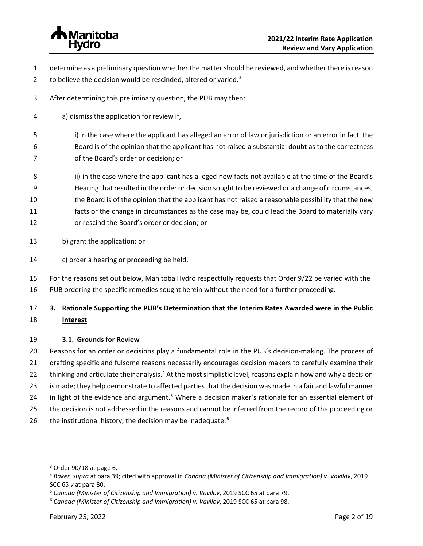

- determine as a preliminary question whether the matter should be reviewed, and whether there is reason
- 2 to believe the decision would be rescinded, altered or varied.
- After determining this preliminary question, the PUB may then:
- a) dismiss the application for review if,
- 5 i) in the case where the applicant has alleged an error of law or jurisdiction or an error in fact, the Board is of the opinion that the applicant has not raised a substantial doubt as to the correctness of the Board's order or decision; or
- 8 ii) in the case where the applicant has alleged new facts not available at the time of the Board's
- Hearing that resulted in the order or decision sought to be reviewed or a change of circumstances,
- the Board is of the opinion that the applicant has not raised a reasonable possibility that the new
- facts or the change in circumstances as the case may be, could lead the Board to materially vary
- or rescind the Board's order or decision; or
- b) grant the application; or
- c) order a hearing or proceeding be held.
- For the reasons set out below, Manitoba Hydro respectfully requests that Order 9/22 be varied with the
- PUB ordering the specific remedies sought herein without the need for a further proceeding.

# <span id="page-4-0"></span> **3. Rationale Supporting the PUB's Determination that the Interim Rates Awarded were in the Public Interest**

# **3.1. Grounds for Review**

 Reasons for an order or decisions play a fundamental role in the PUB's decision-making. The process of drafting specific and fulsome reasons necessarily encourages decision makers to carefully examine their 22 thinking and articulate their analysis.<sup>[4](#page-4-2)</sup> At the most simplistic level, reasons explain how and why a decision

- is made; they help demonstrate to affected parties that the decision was made in a fair and lawful manner
- 24 in light of the evidence and argument.<sup>[5](#page-4-3)</sup> Where a decision maker's rationale for an essential element of
- 25 the decision is not addressed in the reasons and cannot be inferred from the record of the proceeding or
- [6](#page-4-4) the institutional history, the decision may be inadequate.<sup>6</sup>

Order 90/18 at page 6.

<span id="page-4-2"></span><span id="page-4-1"></span>*Baker, supra* at para 39; cited with approval in *Canada (Minister of Citizenship and Immigration) v. Vavilov*, 2019

<span id="page-4-3"></span>SCC 65 *v* at para 80.<br><sup>5</sup> Canada (Minister of Citizenship and Immigration) v. Vavilov, 2019 SCC 65 at para 79.<br><sup>6</sup> Canada (Minister of Citizenship and Immigration) v. Vavilov, 2019 SCC 65 at para 98.

<span id="page-4-4"></span>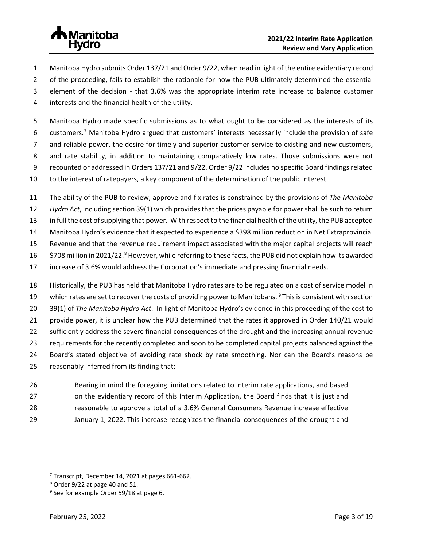

- Manitoba Hydro submits Order 137/21 and Order 9/22, when read in light of the entire evidentiary record
- 2 of the proceeding, fails to establish the rationale for how the PUB ultimately determined the essential
- element of the decision that 3.6% was the appropriate interim rate increase to balance customer
- interests and the financial health of the utility.

 Manitoba Hydro made specific submissions as to what ought to be considered as the interests of its 6 customers.<sup>[7](#page-5-0)</sup> Manitoba Hydro argued that customers' interests necessarily include the provision of safe and reliable power, the desire for timely and superior customer service to existing and new customers, and rate stability, in addition to maintaining comparatively low rates. Those submissions were not recounted or addressed in Orders 137/21 and 9/22. Order 9/22 includes no specific Board findings related to the interest of ratepayers, a key component of the determination of the public interest.

- The ability of the PUB to review, approve and fix rates is constrained by the provisions of *The Manitoba*
- *Hydro Act*, including section 39(1) which provides that the prices payable for power shall be such to return
- in full the cost of supplying that power. With respect to the financial health of the utility, the PUB accepted
- Manitoba Hydro's evidence that it expected to experience a \$398 million reduction in Net Extraprovincial
- Revenue and that the revenue requirement impact associated with the major capital projects will reach
- 16 \$70[8](#page-5-1) million in 2021/22.<sup>8</sup> However, while referring to these facts, the PUB did not explain how its awarded
- increase of 3.6% would address the Corporation's immediate and pressing financial needs.
- Historically, the PUB has held that Manitoba Hydro rates are to be regulated on a cost of service model in 1[9](#page-5-2) which rates are set to recover the costs of providing power to Manitobans. This is consistent with section 39(1) of *The Manitoba Hydro Act*. In light of Manitoba Hydro's evidence in this proceeding of the cost to provide power, it is unclear how the PUB determined that the rates it approved in Order 140/21 would sufficiently address the severe financial consequences of the drought and the increasing annual revenue requirements for the recently completed and soon to be completed capital projects balanced against the Board's stated objective of avoiding rate shock by rate smoothing. Nor can the Board's reasons be reasonably inferred from its finding that:
- Bearing in mind the foregoing limitations related to interim rate applications, and based
- on the evidentiary record of this Interim Application, the Board finds that it is just and
- reasonable to approve a total of a 3.6% General Consumers Revenue increase effective
- January 1, 2022. This increase recognizes the financial consequences of the drought and

<span id="page-5-0"></span><sup>&</sup>lt;sup>7</sup> Transcript, December 14, 2021 at pages 661-662.<br><sup>8</sup> Order 9/22 at page 40 and 51.<br><sup>9</sup> See for example Order 59/18 at page 6.

<span id="page-5-1"></span>

<span id="page-5-2"></span>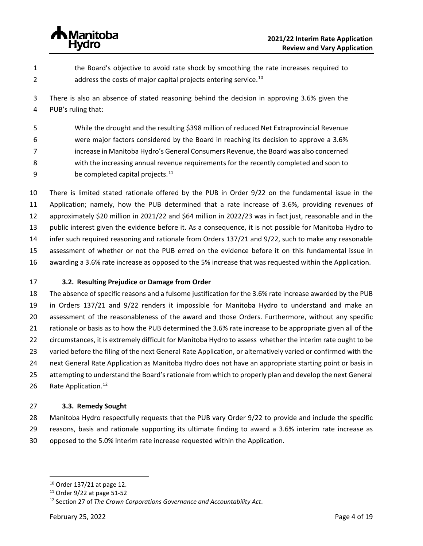

- the Board's objective to avoid rate shock by smoothing the rate increases required to 2  $\mu$  address the costs of major capital projects entering service.<sup>[10](#page-6-0)</sup>
- There is also an absence of stated reasoning behind the decision in approving 3.6% given the PUB's ruling that:
- While the drought and the resulting \$398 million of reduced Net Extraprovincial Revenue were major factors considered by the Board in reaching its decision to approve a 3.6% increase in Manitoba Hydro's General Consumers Revenue, the Board was also concerned with the increasing annual revenue requirements for the recently completed and soon to 9 be completed capital projects.
- There is limited stated rationale offered by the PUB in Order 9/22 on the fundamental issue in the Application; namely, how the PUB determined that a rate increase of 3.6%, providing revenues of approximately \$20 million in 2021/22 and \$64 million in 2022/23 was in fact just, reasonable and in the public interest given the evidence before it. As a consequence, it is not possible for Manitoba Hydro to infer such required reasoning and rationale from Orders 137/21 and 9/22, such to make any reasonable assessment of whether or not the PUB erred on the evidence before it on this fundamental issue in awarding a 3.6% rate increase as opposed to the 5% increase that was requested within the Application.
- **3.2. Resulting Prejudice or Damage from Order**

 The absence of specific reasons and a fulsome justification for the 3.6% rate increase awarded by the PUB in Orders 137/21 and 9/22 renders it impossible for Manitoba Hydro to understand and make an assessment of the reasonableness of the award and those Orders. Furthermore, without any specific rationale or basis as to how the PUB determined the 3.6% rate increase to be appropriate given all of the circumstances, it is extremely difficult for Manitoba Hydro to assess whether the interim rate ought to be varied before the filing of the next General Rate Application, or alternatively varied or confirmed with the next General Rate Application as Manitoba Hydro does not have an appropriate starting point or basis in attempting to understand the Board's rationale from which to properly plan and develop the next General 26 Rate Application.<sup>[12](#page-6-2)</sup>

### **3.3. Remedy Sought**

 Manitoba Hydro respectfully requests that the PUB vary Order 9/22 to provide and include the specific reasons, basis and rationale supporting its ultimate finding to award a 3.6% interim rate increase as opposed to the 5.0% interim rate increase requested within the Application.

<span id="page-6-0"></span>Order 137/21 at page 12.

<span id="page-6-1"></span>Order 9/22 at page 51-52

<span id="page-6-2"></span>Section 27 of *The Crown Corporations Governance and Accountability Act*.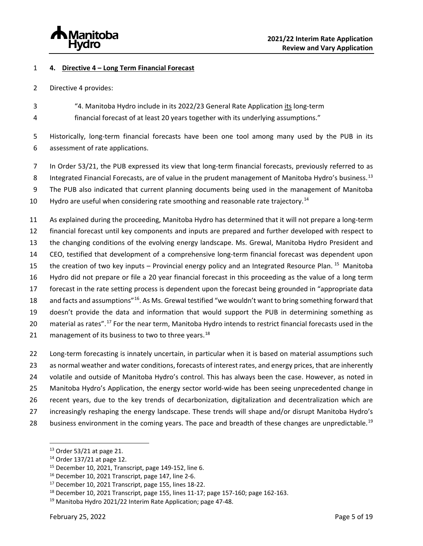

## <span id="page-7-0"></span>**4. Directive 4 – Long Term Financial Forecast**

- Directive 4 provides:
- "4. Manitoba Hydro include in its 2022/23 General Rate Application its long-term
- financial forecast of at least 20 years together with its underlying assumptions."

 Historically, long-term financial forecasts have been one tool among many used by the PUB in its assessment of rate applications.

- 7 In Order 53/21, the PUB expressed its view that long-term financial forecasts, previously referred to as
- 8 Integrated Financial Forecasts, are of value in the prudent management of Manitoba Hydro's business.<sup>[13](#page-7-1)</sup>
- The PUB also indicated that current planning documents being used in the management of Manitoba
- 10 Hydro are useful when considering rate smoothing and reasonable rate trajectory.<sup>[14](#page-7-2)</sup>

 As explained during the proceeding, Manitoba Hydro has determined that it will not prepare a long-term financial forecast until key components and inputs are prepared and further developed with respect to the changing conditions of the evolving energy landscape. Ms. Grewal, Manitoba Hydro President and CEO, testified that development of a comprehensive long-term financial forecast was dependent upon the creation of two key inputs – Provincial energy policy and an Integrated Resource Plan. <sup>15</sup> Manitoba Hydro did not prepare or file a 20 year financial forecast in this proceeding as the value of a long term forecast in the rate setting process is dependent upon the forecast being grounded in "appropriate data 18 and facts and assumptions"<sup>[16](#page-7-4)</sup>. As Ms. Grewal testified "we wouldn't want to bring something forward that doesn't provide the data and information that would support the PUB in determining something as 20 material as rates".<sup>[17](#page-7-5)</sup> For the near term, Manitoba Hydro intends to restrict financial forecasts used in the 21 management of its business to two to three years.<sup>[18](#page-7-6)</sup>

 Long-term forecasting is innately uncertain, in particular when it is based on material assumptions such as normal weather and water conditions, forecasts of interest rates, and energy prices, that are inherently volatile and outside of Manitoba Hydro's control. This has always been the case. However, as noted in Manitoba Hydro's Application, the energy sector world-wide has been seeing unprecedented change in recent years, due to the key trends of decarbonization, digitalization and decentralization which are increasingly reshaping the energy landscape. These trends will shape and/or disrupt Manitoba Hydro's 28 business environment in the coming years. The pace and breadth of these changes are unpredictable.<sup>[19](#page-7-7)</sup>

<span id="page-7-3"></span>

<span id="page-7-4"></span>

<span id="page-7-6"></span><span id="page-7-5"></span>

<span id="page-7-2"></span><span id="page-7-1"></span><sup>&</sup>lt;sup>13</sup> Order 53/21 at page 21.<br><sup>14</sup> Order 137/21 at page 12.<br><sup>15</sup> December 10, 2021, Transcript, page 149-152, line 6.<br><sup>16</sup> December 10, 2021 Transcript, page 147, line 2-6.<br><sup>17</sup> December 10, 2021 Transcript, page 155, line

<span id="page-7-7"></span>Manitoba Hydro 2021/22 Interim Rate Application; page 47-48.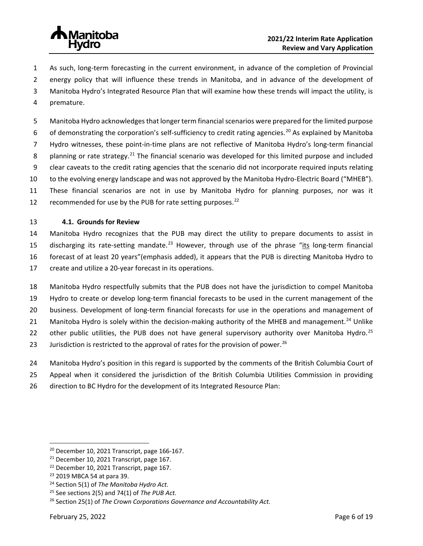

- As such, long-term forecasting in the current environment, in advance of the completion of Provincial
- energy policy that will influence these trends in Manitoba, and in advance of the development of
- Manitoba Hydro's Integrated Resource Plan that will examine how these trends will impact the utility, is
- premature.
- Manitoba Hydro acknowledges that longer term financial scenarios were prepared for the limited purpose 6 of demonstrating the corporation's self-sufficiency to credit rating agencies.<sup>[20](#page-8-0)</sup> As explained by Manitoba Hydro witnesses, these point-in-time plans are not reflective of Manitoba Hydro's long-term financial 8 planning or rate strategy.<sup>[21](#page-8-1)</sup> The financial scenario was developed for this limited purpose and included clear caveats to the credit rating agencies that the scenario did not incorporate required inputs relating to the evolving energy landscape and was not approved by the Manitoba Hydro-Electric Board ("MHEB"). These financial scenarios are not in use by Manitoba Hydro for planning purposes, nor was it 12 recommended for use by the PUB for rate setting purposes. $^{22}$  $^{22}$  $^{22}$

# **4.1. Grounds for Review**

 Manitoba Hydro recognizes that the PUB may direct the utility to prepare documents to assist in 15 discharging its rate-setting mandate.<sup>[23](#page-8-3)</sup> However, through use of the phrase "its long-term financial forecast of at least 20 years"(emphasis added), it appears that the PUB is directing Manitoba Hydro to create and utilize a 20-year forecast in its operations.

- Manitoba Hydro respectfully submits that the PUB does not have the jurisdiction to compel Manitoba Hydro to create or develop long-term financial forecasts to be used in the current management of the business. Development of long-term financial forecasts for use in the operations and management of 21 Manitoba Hydro is solely within the decision-making authority of the MHEB and management.<sup>[24](#page-8-4)</sup> Unlike 22 other public utilities, the PUB does not have general supervisory authority over Manitoba Hydro.<sup>[25](#page-8-5)</sup> 23 Jurisdiction is restricted to the approval of rates for the provision of power.<sup>[26](#page-8-6)</sup>
- Manitoba Hydro's position in this regard is supported by the comments of the British Columbia Court of
- Appeal when it considered the jurisdiction of the British Columbia Utilities Commission in providing
- direction to BC Hydro for the development of its Integrated Resource Plan:

<span id="page-8-0"></span>December 10, 2021 Transcript, page 166-167.

<span id="page-8-2"></span><span id="page-8-1"></span><sup>&</sup>lt;sup>21</sup> December 10, 2021 Transcript, page 167.<br><sup>22</sup> December 10, 2021 Transcript, page 167.<br><sup>23</sup> 2019 MBCA 54 at para 39.<br><sup>24</sup> Section 5(1) of *The Manitoba Hydro Act*. <sup>25</sup> See sections 2(5) and 74(1) of *The PUB Act*.

<span id="page-8-3"></span>

<span id="page-8-4"></span>

<span id="page-8-6"></span><span id="page-8-5"></span>Section 25(1) of *The Crown Corporations Governance and Accountability Act.*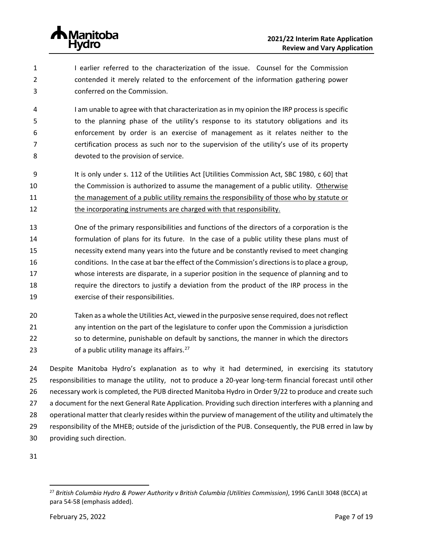

 I earlier referred to the characterization of the issue. Counsel for the Commission contended it merely related to the enforcement of the information gathering power conferred on the Commission.

 I am unable to agree with that characterization as in my opinion the IRP process is specific to the planning phase of the utility's response to its statutory obligations and its enforcement by order is an exercise of management as it relates neither to the certification process as such nor to the supervision of the utility's use of its property devoted to the provision of service.

- 9 It is only under s. 112 of the Utilities Act [Utilities Commission Act, SBC 1980, c 60] that the Commission is authorized to assume the management of a public utility. Otherwise the management of a public utility remains the responsibility of those who by statute or the incorporating instruments are charged with that responsibility.
- One of the primary responsibilities and functions of the directors of a corporation is the formulation of plans for its future. In the case of a public utility these plans must of necessity extend many years into the future and be constantly revised to meet changing conditions. In the case at bar the effect of the Commission's directions is to place a group, whose interests are disparate, in a superior position in the sequence of planning and to require the directors to justify a deviation from the product of the IRP process in the exercise of their responsibilities.
- Taken as a whole the Utilities Act, viewed in the purposive sense required, does not reflect any intention on the part of the legislature to confer upon the Commission a jurisdiction so to determine, punishable on default by sanctions, the manner in which the directors 23 of a public utility manage its affairs.

 Despite Manitoba Hydro's explanation as to why it had determined, in exercising its statutory responsibilities to manage the utility, not to produce a 20-year long-term financial forecast until other necessary work is completed, the PUB directed Manitoba Hydro in Order 9/22 to produce and create such a document for the next General Rate Application. Providing such direction interferes with a planning and operational matter that clearly resides within the purview of management of the utility and ultimately the responsibility of the MHEB; outside of the jurisdiction of the PUB. Consequently, the PUB erred in law by providing such direction.

<span id="page-9-0"></span>

 *British Columbia Hydro & Power Authority v British Columbia (Utilities Commission)*, 1996 CanLII 3048 (BCCA) at para 54-58 (emphasis added).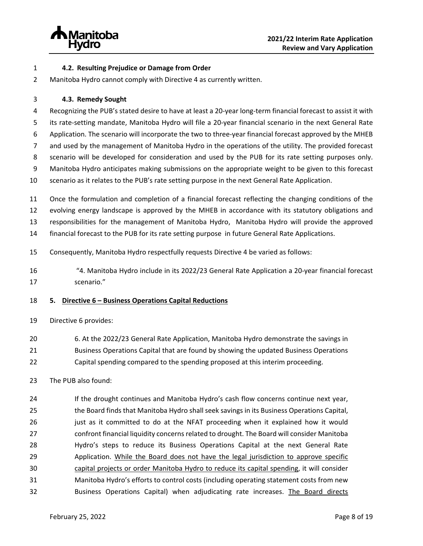

- **4.2. Resulting Prejudice or Damage from Order**
- Manitoba Hydro cannot comply with Directive 4 as currently written.
- **4.3. Remedy Sought**

 Recognizing the PUB's stated desire to have at least a 20-year long-term financial forecast to assist it with its rate-setting mandate, Manitoba Hydro will file a 20-year financial scenario in the next General Rate Application. The scenario will incorporate the two to three-year financial forecast approved by the MHEB and used by the management of Manitoba Hydro in the operations of the utility. The provided forecast scenario will be developed for consideration and used by the PUB for its rate setting purposes only. Manitoba Hydro anticipates making submissions on the appropriate weight to be given to this forecast scenario as it relates to the PUB's rate setting purpose in the next General Rate Application.

 Once the formulation and completion of a financial forecast reflecting the changing conditions of the evolving energy landscape is approved by the MHEB in accordance with its statutory obligations and responsibilities for the management of Manitoba Hydro, Manitoba Hydro will provide the approved financial forecast to the PUB for its rate setting purpose in future General Rate Applications.

Consequently, Manitoba Hydro respectfully requests Directive 4 be varied as follows:

 "4. Manitoba Hydro include in its 2022/23 General Rate Application a 20-year financial forecast scenario."

### <span id="page-10-0"></span>**5. Directive 6 – Business Operations Capital Reductions**

- Directive 6 provides:
- 6. At the 2022/23 General Rate Application, Manitoba Hydro demonstrate the savings in
- Business Operations Capital that are found by showing the updated Business Operations
- Capital spending compared to the spending proposed at this interim proceeding.

# The PUB also found:

 If the drought continues and Manitoba Hydro's cash flow concerns continue next year, the Board finds that Manitoba Hydro shall seek savings in its Business Operations Capital, 26 just as it committed to do at the NFAT proceeding when it explained how it would confront financial liquidity concerns related to drought. The Board will consider Manitoba Hydro's steps to reduce its Business Operations Capital at the next General Rate Application. While the Board does not have the legal jurisdiction to approve specific capital projects or order Manitoba Hydro to reduce its capital spending, it will consider Manitoba Hydro's efforts to control costs (including operating statement costs from new Business Operations Capital) when adjudicating rate increases. The Board directs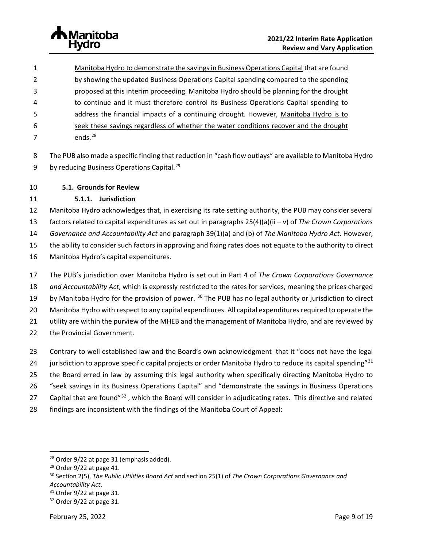

- Manitoba Hydro to demonstrate the savings in Business Operations Capital that are found by showing the updated Business Operations Capital spending compared to the spending proposed at this interim proceeding. Manitoba Hydro should be planning for the drought to continue and it must therefore control its Business Operations Capital spending to address the financial impacts of a continuing drought. However, Manitoba Hydro is to seek these savings regardless of whether the water conditions recover and the drought 7 ends.<sup>[28](#page-11-0)</sup>
- The PUB also made a specific finding that reduction in "cash flow outlays" are available to Manitoba Hydro 9 by reducing Business Operations Capital.<sup>[29](#page-11-1)</sup>

# **5.1. Grounds for Review**

# **5.1.1. Jurisdiction**

 Manitoba Hydro acknowledges that, in exercising its rate setting authority, the PUB may consider several factors related to capital expenditures as set out in paragraphs 25(4)(a)(ii – v) of *The Crown Corporations* 

*Governance and Accountability Act* and paragraph 39(1)(a) and (b) of *The Manitoba Hydro Act*. However,

the ability to consider such factors in approving and fixing rates does not equate to the authority to direct

- Manitoba Hydro's capital expenditures.
- The PUB's jurisdiction over Manitoba Hydro is set out in Part 4 of *The Crown Corporations Governance and Accountability Act*, which is expressly restricted to the rates for services, meaning the prices charged 19 by Manitoba Hydro for the provision of power. <sup>[30](#page-11-2)</sup> The PUB has no legal authority or jurisdiction to direct Manitoba Hydro with respect to any capital expenditures. All capital expenditures required to operate the utility are within the purview of the MHEB and the management of Manitoba Hydro, and are reviewed by the Provincial Government.
- Contrary to well established law and the Board's own acknowledgment that it "does not have the legal
- 24 jurisdiction to approve specific capital projects or order Manitoba Hydro to reduce its capital spending"<sup>[31](#page-11-3)</sup>
- the Board erred in law by assuming this legal authority when specifically directing Manitoba Hydro to
- "seek savings in its Business Operations Capital" and "demonstrate the savings in Business Operations
- 27 Capital that are found"<sup>[32](#page-11-4)</sup>, which the Board will consider in adjudicating rates. This directive and related
- findings are inconsistent with the findings of the Manitoba Court of Appeal:

<span id="page-11-2"></span>

<span id="page-11-1"></span><span id="page-11-0"></span><sup>&</sup>lt;sup>28</sup> Order 9/22 at page 31 (emphasis added).<br><sup>29</sup> Order 9/22 at page 41.<br><sup>30</sup> Section 2(5), *The Public Utilities Board Act* and section 25(1) of *The Crown Corporations Governance and Accountability Act*. 31 Order 9/22 at page 31. 32 Order 9/22 at page 31.

<span id="page-11-4"></span><span id="page-11-3"></span>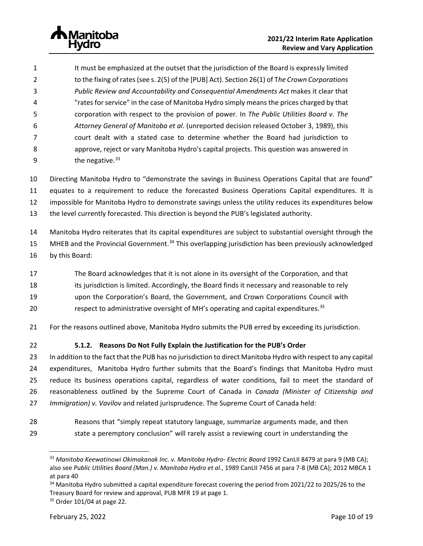It must be emphasized at the outset that the jurisdiction of the Board is expressly limited to the fixing of rates (see s. 2(5) of the [PUB] Act). Section 26(1) of T*he Crown Corporations Public Review and Accountability and Consequential Amendments Act* makes it clear that "rates for service" in the case of Manitoba Hydro simply means the prices charged by that corporation with respect to the provision of power. In *The Public Utilities Board v. The Attorney General of Manitoba et al*. (unreported decision released October 3, 1989), this court dealt with a stated case to determine whether the Board had jurisdiction to approve, reject or vary Manitoba Hydro's capital projects. This question was answered in  $the$  negative.  $33$ 

 Directing Manitoba Hydro to "demonstrate the savings in Business Operations Capital that are found" equates to a requirement to reduce the forecasted Business Operations Capital expenditures. It is impossible for Manitoba Hydro to demonstrate savings unless the utility reduces its expenditures below

the level currently forecasted. This direction is beyond the PUB's legislated authority.

Manitoba Hydro reiterates that its capital expenditures are subject to substantial oversight through the

- 15 MHEB and the Provincial Government.<sup>[34](#page-12-1)</sup> This overlapping jurisdiction has been previously acknowledged
- by this Board:
- The Board acknowledges that it is not alone in its oversight of the Corporation, and that
- 18 its jurisdiction is limited. Accordingly, the Board finds it necessary and reasonable to rely
- upon the Corporation's Board, the Government, and Crown Corporations Council with
- 20 **respect to administrative oversight of MH's operating and capital expenditures.**<sup>[35](#page-12-2)</sup>
- For the reasons outlined above, Manitoba Hydro submits the PUB erred by exceeding its jurisdiction.
- 

# **5.1.2. Reasons Do Not Fully Explain the Justification for the PUB's Order**

 In addition to the fact that the PUB has no jurisdiction to direct Manitoba Hydro with respect to any capital expenditures, Manitoba Hydro further submits that the Board's findings that Manitoba Hydro must reduce its business operations capital, regardless of water conditions, fail to meet the standard of reasonableness outlined by the Supreme Court of Canada in *Canada (Minister of Citizenship and Immigration) v. Vavilov* and related jurisprudence. The Supreme Court of Canada held:

<span id="page-12-0"></span> Reasons that "simply repeat statutory language, summarize arguments made, and then state a peremptory conclusion" will rarely assist a reviewing court in understanding the

 *Manitoba Keewatinowi Okimakanak Inc. v. Manitoba Hydro- Electric Board* 1992 CanLII 8479 at para 9 (MB CA); also see *Public Utilities Board (Man.) v. Manitoba Hydro et al.*, 1989 CanLII 7456 at para 7-8 (MB CA); 2012 MBCA 1 at para 40

<span id="page-12-1"></span><sup>&</sup>lt;sup>34</sup> Manitoba Hydro submitted a capital expenditure forecast covering the period from 2021/22 to 2025/26 to the Treasury Board for review and approval, PUB MFR 19 at page 1.

<span id="page-12-2"></span>Order 101/04 at page 22.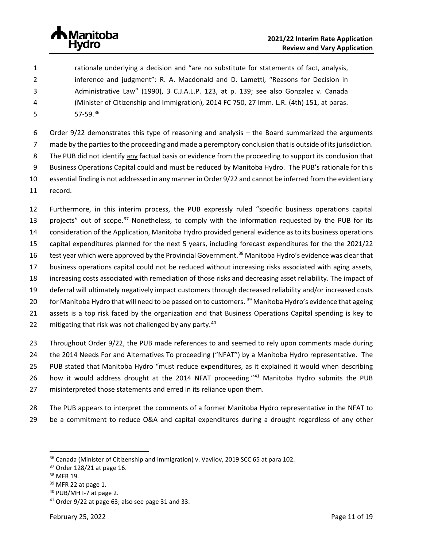

 rationale underlying a decision and "are no substitute for statements of fact, analysis, inference and judgment": R. A. Macdonald and D. Lametti, "Reasons for Decision in Administrative Law" (1990), 3 C.J.A.L.P. 123, at p. 139; see also Gonzalez v. Canada (Minister of Citizenship and Immigration), 2014 FC 750, 27 Imm. L.R. (4th) 151, at paras. 57-59.<sup>[36](#page-13-0)</sup>

 Order 9/22 demonstrates this type of reasoning and analysis – the Board summarized the arguments made by the parties to the proceeding and made a peremptory conclusion that is outside of its jurisdiction. The PUB did not identify any factual basis or evidence from the proceeding to support its conclusion that Business Operations Capital could and must be reduced by Manitoba Hydro. The PUB's rationale for this essential finding is not addressed in any manner in Order 9/22 and cannot be inferred from the evidentiary record.

 Furthermore, in this interim process, the PUB expressly ruled "specific business operations capital 13 projects" out of scope.<sup>[37](#page-13-1)</sup> Nonetheless, to comply with the information requested by the PUB for its consideration of the Application, Manitoba Hydro provided general evidence as to its business operations capital expenditures planned for the next 5 years, including forecast expenditures for the the 2021/22 16 test year which were approved by the Provincial Government.<sup>[38](#page-13-2)</sup> Manitoba Hydro's evidence was clear that business operations capital could not be reduced without increasing risks associated with aging assets, increasing costs associated with remediation of those risks and decreasing asset reliability. The impact of deferral will ultimately negatively impact customers through decreased reliability and/or increased costs 20 for Manitoba Hydro that will need to be passed on to customers. <sup>[39](#page-13-3)</sup> Manitoba Hydro's evidence that ageing assets is a top risk faced by the organization and that Business Operations Capital spending is key to 22 mitigating that risk was not challenged by any party.

 Throughout Order 9/22, the PUB made references to and seemed to rely upon comments made during the 2014 Needs For and Alternatives To proceeding ("NFAT") by a Manitoba Hydro representative. The PUB stated that Manitoba Hydro "must reduce expenditures, as it explained it would when describing 26 how it would address drought at the 2014 NFAT proceeding."<sup>[41](#page-13-5)</sup> Manitoba Hydro submits the PUB misinterpreted those statements and erred in its reliance upon them.

- The PUB appears to interpret the comments of a former Manitoba Hydro representative in the NFAT to
- be a commitment to reduce O&A and capital expenditures during a drought regardless of any other

<span id="page-13-0"></span><sup>&</sup>lt;sup>36</sup> Canada (Minister of Citizenship and Immigration) v. Vavilov, 2019 SCC 65 at para 102.<br><sup>37</sup> Order 128/21 at page 16.<br><sup>38</sup> MFR 19.

<span id="page-13-1"></span>

<span id="page-13-2"></span>

<span id="page-13-3"></span>MFR 22 at page 1.<br> $40$  PUB/MH I-7 at page 2.

<span id="page-13-5"></span><span id="page-13-4"></span>Order 9/22 at page 63; also see page 31 and 33.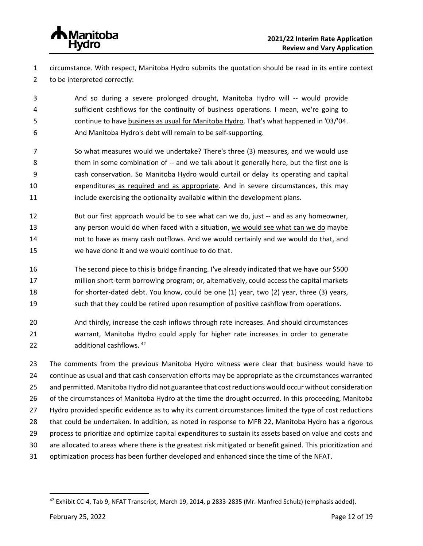

 circumstance. With respect, Manitoba Hydro submits the quotation should be read in its entire context to be interpreted correctly:

 And so during a severe prolonged drought, Manitoba Hydro will -- would provide sufficient cashflows for the continuity of business operations. I mean, we're going to continue to have business as usual for Manitoba Hydro. That's what happened in '03/'04. And Manitoba Hydro's debt will remain to be self-supporting.

 So what measures would we undertake? There's three (3) measures, and we would use 8 them in some combination of -- and we talk about it generally here, but the first one is cash conservation. So Manitoba Hydro would curtail or delay its operating and capital expenditures as required and as appropriate. And in severe circumstances, this may include exercising the optionality available within the development plans.

- But our first approach would be to see what can we do, just -- and as any homeowner, 13 any person would do when faced with a situation, we would see what can we do maybe not to have as many cash outflows. And we would certainly and we would do that, and we have done it and we would continue to do that.
- The second piece to this is bridge financing. I've already indicated that we have our \$500 million short-term borrowing program; or, alternatively, could access the capital markets for shorter-dated debt. You know, could be one (1) year, two (2) year, three (3) years, such that they could be retired upon resumption of positive cashflow from operations.
- And thirdly, increase the cash inflows through rate increases. And should circumstances warrant, Manitoba Hydro could apply for higher rate increases in order to generate 22 additional cashflows. [42](#page-14-0)

 The comments from the previous Manitoba Hydro witness were clear that business would have to continue as usual and that cash conservation efforts may be appropriate as the circumstances warranted and permitted. Manitoba Hydro did not guarantee that cost reductions would occur without consideration of the circumstances of Manitoba Hydro at the time the drought occurred. In this proceeding, Manitoba Hydro provided specific evidence as to why its current circumstances limited the type of cost reductions that could be undertaken. In addition, as noted in response to MFR 22, Manitoba Hydro has a rigorous process to prioritize and optimize capital expenditures to sustain its assets based on value and costs and are allocated to areas where there is the greatest risk mitigated or benefit gained. This prioritization and optimization process has been further developed and enhanced since the time of the NFAT.

<span id="page-14-0"></span>Exhibit CC-4, Tab 9, NFAT Transcript, March 19, 2014, p 2833-2835 (Mr. Manfred Schulz) (emphasis added).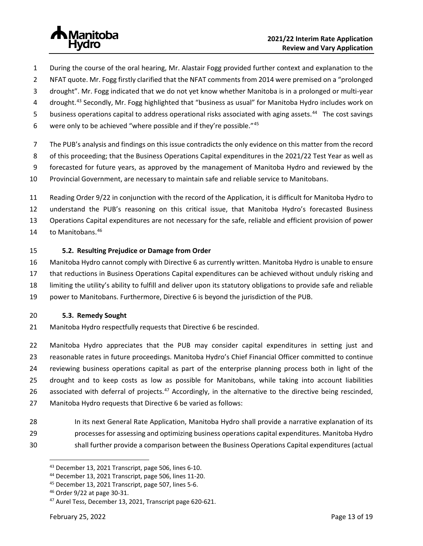

- During the course of the oral hearing, Mr. Alastair Fogg provided further context and explanation to the
- NFAT quote. Mr. Fogg firstly clarified that the NFAT comments from 2014 were premised on a "prolonged
- drought". Mr. Fogg indicated that we do not yet know whether Manitoba is in a prolonged or multi-year
- 4 drought.<sup>[43](#page-15-0)</sup> Secondly, Mr. Fogg highlighted that "business as usual" for Manitoba Hydro includes work on
- 5 business operations capital to address operational risks associated with aging assets.<sup>[44](#page-15-1)</sup> The cost savings
- 6 were only to be achieved "where possible and if they're possible."

The PUB's analysis and findings on this issue contradicts the only evidence on this matter from the record

- of this proceeding; that the Business Operations Capital expenditures in the 2021/22 Test Year as well as
- forecasted for future years, as approved by the management of Manitoba Hydro and reviewed by the
- Provincial Government, are necessary to maintain safe and reliable service to Manitobans.
- Reading Order 9/22 in conjunction with the record of the Application, it is difficult for Manitoba Hydro to understand the PUB's reasoning on this critical issue, that Manitoba Hydro's forecasted Business Operations Capital expenditures are not necessary for the safe, reliable and efficient provision of power 14 to Manitobans.<sup>[46](#page-15-3)</sup>
- **5.2. Resulting Prejudice or Damage from Order**
- Manitoba Hydro cannot comply with Directive 6 as currently written. Manitoba Hydro is unable to ensure that reductions in Business Operations Capital expenditures can be achieved without unduly risking and limiting the utility's ability to fulfill and deliver upon its statutory obligations to provide safe and reliable power to Manitobans. Furthermore, Directive 6 is beyond the jurisdiction of the PUB.

### **5.3. Remedy Sought**

- Manitoba Hydro respectfully requests that Directive 6 be rescinded.
- Manitoba Hydro appreciates that the PUB may consider capital expenditures in setting just and reasonable rates in future proceedings. Manitoba Hydro's Chief Financial Officer committed to continue reviewing business operations capital as part of the enterprise planning process both in light of the drought and to keep costs as low as possible for Manitobans, while taking into account liabilities 26 associated with deferral of projects.<sup>[47](#page-15-4)</sup> Accordingly, in the alternative to the directive being rescinded, Manitoba Hydro requests that Directive 6 be varied as follows:
- In its next General Rate Application, Manitoba Hydro shall provide a narrative explanation of its processes for assessing and optimizing business operations capital expenditures. Manitoba Hydro
- <span id="page-15-1"></span><span id="page-15-0"></span>shall further provide a comparison between the Business Operations Capital expenditures (actual

<sup>&</sup>lt;sup>43</sup> December 13, 2021 Transcript, page 506, lines 6-10.<br><sup>44</sup> December 13, 2021 Transcript, page 506, lines 11-20.

<span id="page-15-2"></span>

<span id="page-15-4"></span><span id="page-15-3"></span>

<sup>&</sup>lt;sup>45</sup> December 13, 2021 Transcript, page 507, lines 5-6.<br><sup>46</sup> Order 9/22 at page 30-31.<br><sup>47</sup> Aurel Tess, December 13, 2021, Transcript page 620-621.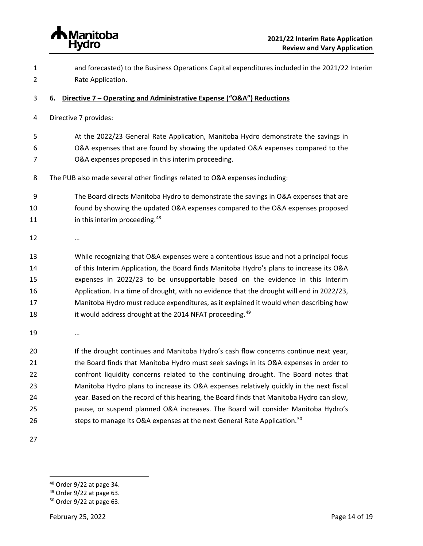<span id="page-16-0"></span>

 and forecasted) to the Business Operations Capital expenditures included in the 2021/22 Interim Rate Application. **6. Directive 7 – Operating and Administrative Expense ("O&A") Reductions** Directive 7 provides: At the 2022/23 General Rate Application, Manitoba Hydro demonstrate the savings in O&A expenses that are found by showing the updated O&A expenses compared to the O&A expenses proposed in this interim proceeding. The PUB also made several other findings related to O&A expenses including: The Board directs Manitoba Hydro to demonstrate the savings in O&A expenses that are found by showing the updated O&A expenses compared to the O&A expenses proposed **in this interim proceeding.**<sup>[48](#page-16-1)</sup> … While recognizing that O&A expenses were a contentious issue and not a principal focus of this Interim Application, the Board finds Manitoba Hydro's plans to increase its O&A expenses in 2022/23 to be unsupportable based on the evidence in this Interim Application. In a time of drought, with no evidence that the drought will end in 2022/23, Manitoba Hydro must reduce expenditures, as it explained it would when describing how 18 it would address drought at the 2014 NFAT proceeding.<sup>[49](#page-16-2)</sup> … 20 If the drought continues and Manitoba Hydro's cash flow concerns continue next year, the Board finds that Manitoba Hydro must seek savings in its O&A expenses in order to confront liquidity concerns related to the continuing drought. The Board notes that Manitoba Hydro plans to increase its O&A expenses relatively quickly in the next fiscal year. Based on the record of this hearing, the Board finds that Manitoba Hydro can slow, pause, or suspend planned O&A increases. The Board will consider Manitoba Hydro's 26 Steps to manage its O&A expenses at the next General Rate Application.<sup>[50](#page-16-3)</sup>

<span id="page-16-2"></span><span id="page-16-1"></span><sup>&</sup>lt;sup>48</sup> Order 9/22 at page 34.<br><sup>49</sup> Order 9/22 at page 63.

<span id="page-16-3"></span>Order 9/22 at page 63.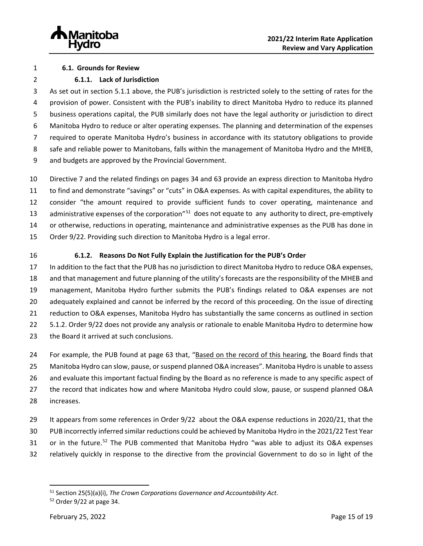

#### **6.1. Grounds for Review**

## **6.1.1. Lack of Jurisdiction**

 As set out in section 5.1.1 above, the PUB's jurisdiction is restricted solely to the setting of rates for the provision of power. Consistent with the PUB's inability to direct Manitoba Hydro to reduce its planned business operations capital, the PUB similarly does not have the legal authority or jurisdiction to direct Manitoba Hydro to reduce or alter operating expenses. The planning and determination of the expenses required to operate Manitoba Hydro's business in accordance with its statutory obligations to provide safe and reliable power to Manitobans, falls within the management of Manitoba Hydro and the MHEB, and budgets are approved by the Provincial Government.

 Directive 7 and the related findings on pages 34 and 63 provide an express direction to Manitoba Hydro to find and demonstrate "savings" or "cuts" in O&A expenses. As with capital expenditures, the ability to consider "the amount required to provide sufficient funds to cover operating, maintenance and 13 administrative expenses of the corporation"<sup>[51](#page-17-0)</sup> does not equate to any authority to direct, pre-emptively or otherwise, reductions in operating, maintenance and administrative expenses as the PUB has done in Order 9/22. Providing such direction to Manitoba Hydro is a legal error.

## **6.1.2. Reasons Do Not Fully Explain the Justification for the PUB's Order**

 In addition to the fact that the PUB has no jurisdiction to direct Manitoba Hydro to reduce O&A expenses, and that management and future planning of the utility's forecasts are the responsibility of the MHEB and management, Manitoba Hydro further submits the PUB's findings related to O&A expenses are not adequately explained and cannot be inferred by the record of this proceeding. On the issue of directing reduction to O&A expenses, Manitoba Hydro has substantially the same concerns as outlined in section 5.1.2. Order 9/22 does not provide any analysis or rationale to enable Manitoba Hydro to determine how 23 the Board it arrived at such conclusions.

 For example, the PUB found at page 63 that, "Based on the record of this hearing, the Board finds that Manitoba Hydro can slow, pause, or suspend planned O&A increases". Manitoba Hydro is unable to assess and evaluate this important factual finding by the Board as no reference is made to any specific aspect of the record that indicates how and where Manitoba Hydro could slow, pause, or suspend planned O&A increases.

- It appears from some references in Order 9/22 about the O&A expense reductions in 2020/21, that the
- PUB incorrectly inferred similar reductions could be achieved by Manitoba Hydro in the 2021/22 Test Year
- 31 or in the future.<sup>[52](#page-17-1)</sup> The PUB commented that Manitoba Hydro "was able to adjust its O&A expenses
- relatively quickly in response to the directive from the provincial Government to do so in light of the

<span id="page-17-1"></span><span id="page-17-0"></span><sup>&</sup>lt;sup>51</sup> Section 25(5)(a)(i), *The Crown Corporations Governance and Accountability Act.* 52<br><sup>52</sup> Order 9/22 at page 34.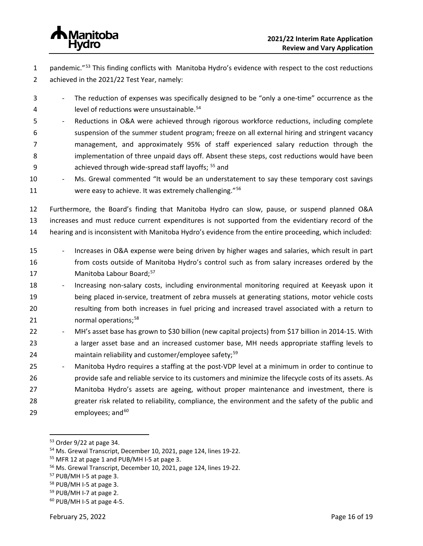

1 pandemic."<sup>[53](#page-18-0)</sup> This finding conflicts with Manitoba Hydro's evidence with respect to the cost reductions 2 achieved in the 2021/22 Test Year, namely:

- 3 The reduction of expenses was specifically designed to be "only a one-time" occurrence as the 4 **Startube 1 level of reductions were unsustainable.**<sup>[54](#page-18-1)</sup>
- 5 Reductions in O&A were achieved through rigorous workforce reductions, including complete 6 suspension of the summer student program; freeze on all external hiring and stringent vacancy 7 management, and approximately 95% of staff experienced salary reduction through the 8 implementation of three unpaid days off. Absent these steps, cost reductions would have been 9 achieved through wide-spread staff layoffs; <sup>[55](#page-18-2)</sup> and
- 10 Ms. Grewal commented "It would be an understatement to say these temporary cost savings 11 were easy to achieve. It was extremely challenging."<sup>[56](#page-18-3)</sup>

12 Furthermore, the Board's finding that Manitoba Hydro can slow, pause, or suspend planned O&A 13 increases and must reduce current expenditures is not supported from the evidentiary record of the 14 hearing and is inconsistent with Manitoba Hydro's evidence from the entire proceeding, which included:

- 15 Increases in O&A expense were being driven by higher wages and salaries, which result in part 16 from costs outside of Manitoba Hydro's control such as from salary increases ordered by the 17 Manitoba Labour Board;<sup>[57](#page-18-4)</sup>
- 18 Increasing non-salary costs, including environmental monitoring required at Keeyask upon it 19 being placed in-service, treatment of zebra mussels at generating stations, motor vehicle costs 20 resulting from both increases in fuel pricing and increased travel associated with a return to 21 **normal operations**;<sup>[58](#page-18-5)</sup>
- 22 MH's asset base has grown to \$30 billion (new capital projects) from \$17 billion in 2014-15. With 23 a larger asset base and an increased customer base, MH needs appropriate staffing levels to 24 maintain reliability and customer/employee safety;<sup>[59](#page-18-6)</sup>
- 25 Manitoba Hydro requires a staffing at the post-VDP level at a minimum in order to continue to 26 provide safe and reliable service to its customers and minimize the lifecycle costs of its assets. As 27 Manitoba Hydro's assets are ageing, without proper maintenance and investment, there is 28 greater risk related to reliability, compliance, the environment and the safety of the public and 29  $employees; and<sup>60</sup>$  $employees; and<sup>60</sup>$  $employees; and<sup>60</sup>$

<span id="page-18-1"></span><span id="page-18-0"></span><sup>&</sup>lt;sup>53</sup> Order 9/22 at page 34.<br><sup>54</sup> Ms. Grewal Transcript, December 10, 2021, page 124, lines 19-22.<br><sup>55</sup> MFR 12 at page 1 and PUB/MH I-5 at page 3.<br><sup>56</sup> Ms. Grewal Transcript, December 10, 2021, page 124, lines 19-22.

<span id="page-18-2"></span>

<span id="page-18-3"></span>

<span id="page-18-4"></span><sup>57</sup> PUB/MH I-5 at page 3.

<span id="page-18-5"></span><sup>58</sup> PUB/MH I-5 at page 3.

<span id="page-18-6"></span><sup>59</sup> PUB/MH I-7 at page 2.

<span id="page-18-7"></span><sup>60</sup> PUB/MH I-5 at page 4-5.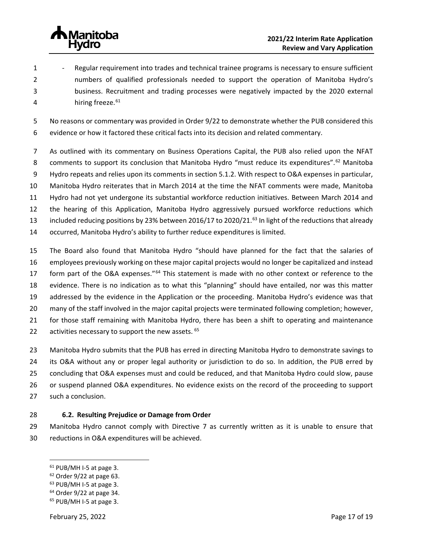

1 - Regular requirement into trades and technical trainee programs is necessary to ensure sufficient numbers of qualified professionals needed to support the operation of Manitoba Hydro's business. Recruitment and trading processes were negatively impacted by the 2020 external 4 hiring freeze.<sup>[61](#page-19-0)</sup>

 No reasons or commentary was provided in Order 9/22 to demonstrate whether the PUB considered this evidence or how it factored these critical facts into its decision and related commentary.

- As outlined with its commentary on Business Operations Capital, the PUB also relied upon the NFAT 8 comments to support its conclusion that Manitoba Hydro "must reduce its expenditures".<sup>[62](#page-19-1)</sup> Manitoba Hydro repeats and relies upon its comments in section 5.1.2. With respect to O&A expenses in particular, Manitoba Hydro reiterates that in March 2014 at the time the NFAT comments were made, Manitoba Hydro had not yet undergone its substantial workforce reduction initiatives. Between March 2014 and the hearing of this Application, Manitoba Hydro aggressively pursued workforce reductions which 13 included reducing positions by 23% between 2016/17 to 2020/21.<sup>[63](#page-19-2)</sup> In light of the reductions that already occurred, Manitoba Hydro's ability to further reduce expenditures is limited.
- The Board also found that Manitoba Hydro "should have planned for the fact that the salaries of employees previously working on these major capital projects would no longer be capitalized and instead 17 form part of the O&A expenses."<sup>[64](#page-19-3)</sup> This statement is made with no other context or reference to the evidence. There is no indication as to what this "planning" should have entailed, nor was this matter addressed by the evidence in the Application or the proceeding. Manitoba Hydro's evidence was that many of the staff involved in the major capital projects were terminated following completion; however, for those staff remaining with Manitoba Hydro, there has been a shift to operating and maintenance 22 activities necessary to support the new assets.
- Manitoba Hydro submits that the PUB has erred in directing Manitoba Hydro to demonstrate savings to its O&A without any or proper legal authority or jurisdiction to do so. In addition, the PUB erred by concluding that O&A expenses must and could be reduced, and that Manitoba Hydro could slow, pause or suspend planned O&A expenditures. No evidence exists on the record of the proceeding to support such a conclusion.

# **6.2. Resulting Prejudice or Damage from Order**

 Manitoba Hydro cannot comply with Directive 7 as currently written as it is unable to ensure that reductions in O&A expenditures will be achieved.

<span id="page-19-0"></span>PUB/MH I-5 at page 3.

<span id="page-19-2"></span><span id="page-19-1"></span>

<span id="page-19-3"></span>

Order 9/22 at page 63.<br> $63$  PUB/MH I-5 at page 3.<br> $64$  Order 9/22 at page 34.<br> $65$  PUB/MH I-5 at page 3.

<span id="page-19-4"></span>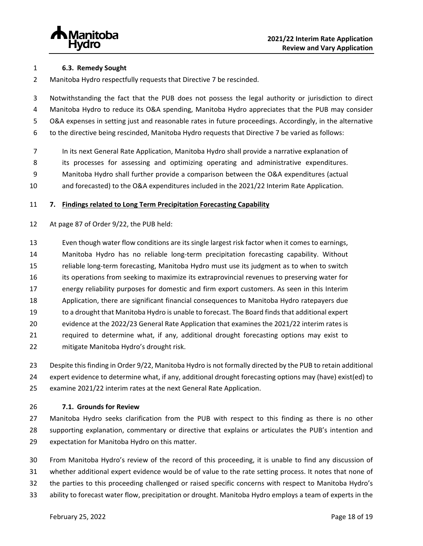

### **6.3. Remedy Sought**

Manitoba Hydro respectfully requests that Directive 7 be rescinded.

 Notwithstanding the fact that the PUB does not possess the legal authority or jurisdiction to direct Manitoba Hydro to reduce its O&A spending, Manitoba Hydro appreciates that the PUB may consider O&A expenses in setting just and reasonable rates in future proceedings. Accordingly, in the alternative to the directive being rescinded, Manitoba Hydro requests that Directive 7 be varied as follows:

In its next General Rate Application, Manitoba Hydro shall provide a narrative explanation of

its processes for assessing and optimizing operating and administrative expenditures.

Manitoba Hydro shall further provide a comparison between the O&A expenditures (actual

and forecasted) to the O&A expenditures included in the 2021/22 Interim Rate Application.

# <span id="page-20-0"></span>**7. Findings related to Long Term Precipitation Forecasting Capability**

At page 87 of Order 9/22, the PUB held:

 Even though water flow conditions are its single largest risk factor when it comes to earnings, Manitoba Hydro has no reliable long-term precipitation forecasting capability. Without reliable long-term forecasting, Manitoba Hydro must use its judgment as to when to switch its operations from seeking to maximize its extraprovincial revenues to preserving water for energy reliability purposes for domestic and firm export customers. As seen in this Interim Application, there are significant financial consequences to Manitoba Hydro ratepayers due to a drought that Manitoba Hydro is unable to forecast. The Board finds that additional expert evidence at the 2022/23 General Rate Application that examines the 2021/22 interim rates is required to determine what, if any, additional drought forecasting options may exist to mitigate Manitoba Hydro's drought risk.

 Despite thisfinding in Order 9/22, Manitoba Hydro is not formally directed by the PUB to retain additional expert evidence to determine what, if any, additional drought forecasting options may (have) exist(ed) to examine 2021/22 interim rates at the next General Rate Application.

# **7.1. Grounds for Review**

 Manitoba Hydro seeks clarification from the PUB with respect to this finding as there is no other supporting explanation, commentary or directive that explains or articulates the PUB's intention and expectation for Manitoba Hydro on this matter.

- From Manitoba Hydro's review of the record of this proceeding, it is unable to find any discussion of whether additional expert evidence would be of value to the rate setting process. It notes that none of the parties to this proceeding challenged or raised specific concerns with respect to Manitoba Hydro's
- ability to forecast water flow, precipitation or drought. Manitoba Hydro employs a team of experts in the